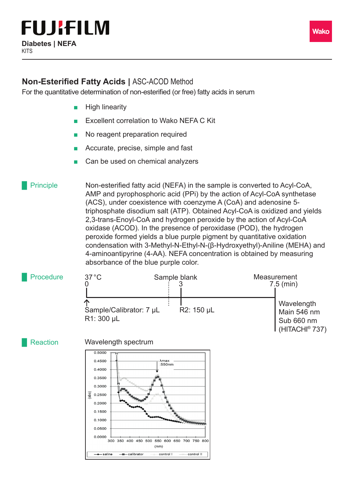

### **Non-Esterified Fatty Acids | ASC-ACOD Method**

For the quantitative determination of non-esterified (or free) fatty acids in serum

- **High linearity**
- Excellent correlation to Wako NEFA C Kit
- No reagent preparation required
- Accurate, precise, simple and fast
- Can be used on chemical analyzers

Non-esterified fatty acid (NEFA) in the sample is converted to Acyl-CoA, AMP and pyrophosphoric acid (PPi) by the action of Acyl-CoA synthetase (ACS), under coexistence with coenzyme A (CoA) and adenosine 5 triphosphate disodium salt (ATP). Obtained Acyl-CoA is oxidized and yields 2,3-trans-Enoyl-CoA and hydrogen peroxide by the action of Acyl-CoA oxidase (ACOD). In the presence of peroxidase (POD), the hydrogen peroxide formed yields a blue purple pigment by quantitative oxidation condensation with 3-Methyl-N-Ethyl-N-(β-Hydroxyethyl)-Aniline (MEHA) and 4-aminoantipyrine (4-AA). NEFA concentration is obtained by measuring absorbance of the blue purple color. **Principle** 



Reaction Wavelength spectrum